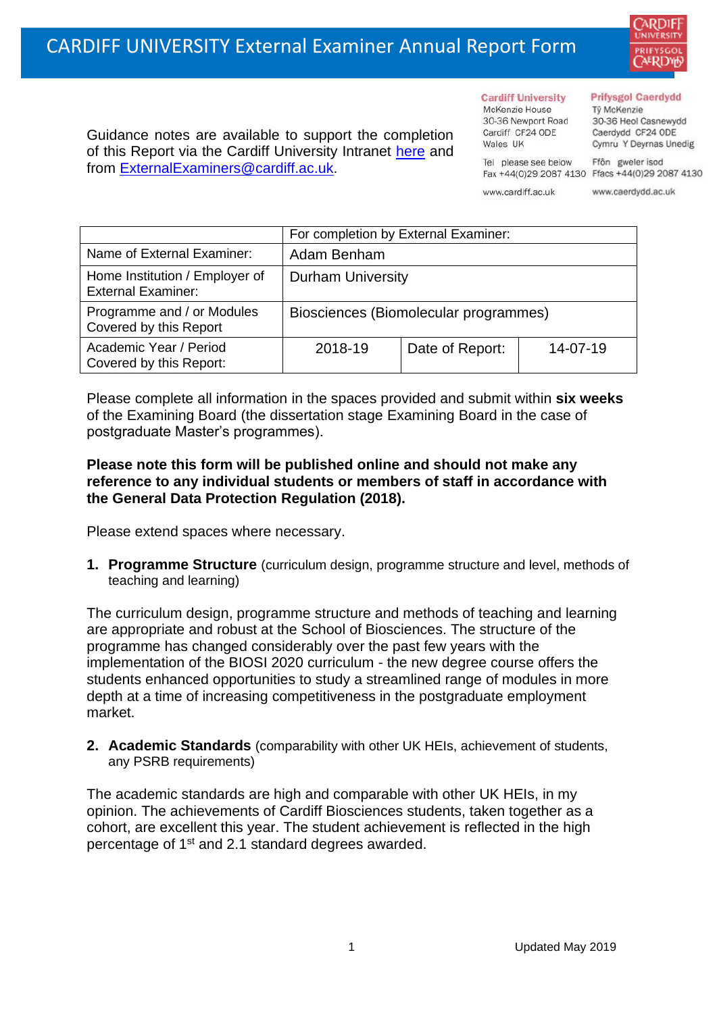

Guidance notes are available to support the completion of this Report via the Cardiff University Intranet [here](https://intranet.cardiff.ac.uk/staff/teaching-and-supporting-students/exams-and-assessment/exam-boards-and-external-examiners/for-current-external-examiners/external-examiners-reports) and from [ExternalExaminers@cardiff.ac.uk.](mailto:ExternalExaminers@cardiff.ac.uk)

**Cardiff University** McKenzie House 30-36 Newport Road Cardiff CF24 ODE

Wales UK

#### **Prifysgol Caerdydd**

Từ McKenzie 30-36 Heol Casnewydd Caerdydd CF24 ODE Cymru Y Deyrnas Unedig

Ffôn gweler isod Fax +44(0)29 2087 4130 Ffacs +44(0)29 2087 4130

www.cardiff.ac.uk

Tel please see below

www.caerdydd.ac.uk

|                                                             | For completion by External Examiner:  |                 |          |  |
|-------------------------------------------------------------|---------------------------------------|-----------------|----------|--|
| Name of External Examiner:                                  | Adam Benham                           |                 |          |  |
| Home Institution / Employer of<br><b>External Examiner:</b> | <b>Durham University</b>              |                 |          |  |
| Programme and / or Modules<br>Covered by this Report        | Biosciences (Biomolecular programmes) |                 |          |  |
| Academic Year / Period<br>Covered by this Report:           | 2018-19                               | Date of Report: | 14-07-19 |  |

Please complete all information in the spaces provided and submit within **six weeks** of the Examining Board (the dissertation stage Examining Board in the case of postgraduate Master's programmes).

## **Please note this form will be published online and should not make any reference to any individual students or members of staff in accordance with the General Data Protection Regulation (2018).**

Please extend spaces where necessary.

**1. Programme Structure** (curriculum design, programme structure and level, methods of teaching and learning)

The curriculum design, programme structure and methods of teaching and learning are appropriate and robust at the School of Biosciences. The structure of the programme has changed considerably over the past few years with the implementation of the BIOSI 2020 curriculum - the new degree course offers the students enhanced opportunities to study a streamlined range of modules in more depth at a time of increasing competitiveness in the postgraduate employment market.

**2. Academic Standards** (comparability with other UK HEIs, achievement of students, any PSRB requirements)

The academic standards are high and comparable with other UK HEIs, in my opinion. The achievements of Cardiff Biosciences students, taken together as a cohort, are excellent this year. The student achievement is reflected in the high percentage of 1st and 2.1 standard degrees awarded.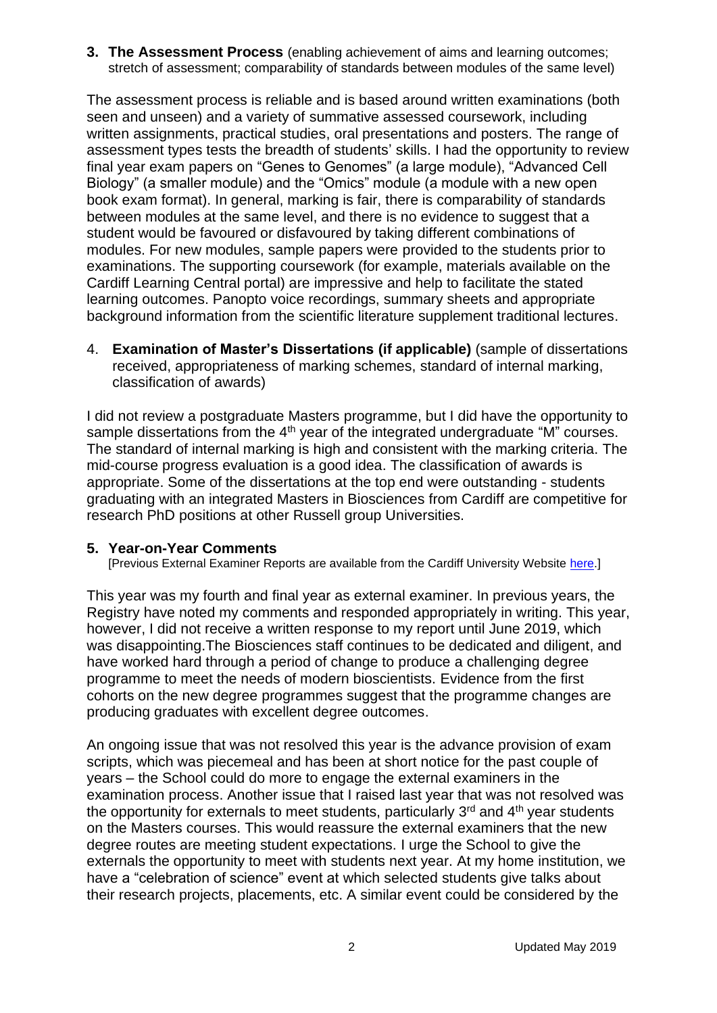**3. The Assessment Process** (enabling achievement of aims and learning outcomes; stretch of assessment; comparability of standards between modules of the same level)

The assessment process is reliable and is based around written examinations (both seen and unseen) and a variety of summative assessed coursework, including written assignments, practical studies, oral presentations and posters. The range of assessment types tests the breadth of students' skills. I had the opportunity to review final year exam papers on "Genes to Genomes" (a large module), "Advanced Cell Biology" (a smaller module) and the "Omics" module (a module with a new open book exam format). In general, marking is fair, there is comparability of standards between modules at the same level, and there is no evidence to suggest that a student would be favoured or disfavoured by taking different combinations of modules. For new modules, sample papers were provided to the students prior to examinations. The supporting coursework (for example, materials available on the Cardiff Learning Central portal) are impressive and help to facilitate the stated learning outcomes. Panopto voice recordings, summary sheets and appropriate background information from the scientific literature supplement traditional lectures.

4. **Examination of Master's Dissertations (if applicable)** (sample of dissertations received, appropriateness of marking schemes, standard of internal marking, classification of awards)

I did not review a postgraduate Masters programme, but I did have the opportunity to sample dissertations from the  $4<sup>th</sup>$  year of the integrated undergraduate "M" courses. The standard of internal marking is high and consistent with the marking criteria. The mid-course progress evaluation is a good idea. The classification of awards is appropriate. Some of the dissertations at the top end were outstanding - students graduating with an integrated Masters in Biosciences from Cardiff are competitive for research PhD positions at other Russell group Universities.

## **5. Year-on-Year Comments**

[Previous External Examiner Reports are available from the Cardiff University Website [here.](https://www.cardiff.ac.uk/public-information/quality-and-standards/external-examiner-reports)]

This year was my fourth and final year as external examiner. In previous years, the Registry have noted my comments and responded appropriately in writing. This year, however, I did not receive a written response to my report until June 2019, which was disappointing.The Biosciences staff continues to be dedicated and diligent, and have worked hard through a period of change to produce a challenging degree programme to meet the needs of modern bioscientists. Evidence from the first cohorts on the new degree programmes suggest that the programme changes are producing graduates with excellent degree outcomes.

An ongoing issue that was not resolved this year is the advance provision of exam scripts, which was piecemeal and has been at short notice for the past couple of years – the School could do more to engage the external examiners in the examination process. Another issue that I raised last year that was not resolved was the opportunity for externals to meet students, particularly  $3<sup>rd</sup>$  and  $4<sup>th</sup>$  year students on the Masters courses. This would reassure the external examiners that the new degree routes are meeting student expectations. I urge the School to give the externals the opportunity to meet with students next year. At my home institution, we have a "celebration of science" event at which selected students give talks about their research projects, placements, etc. A similar event could be considered by the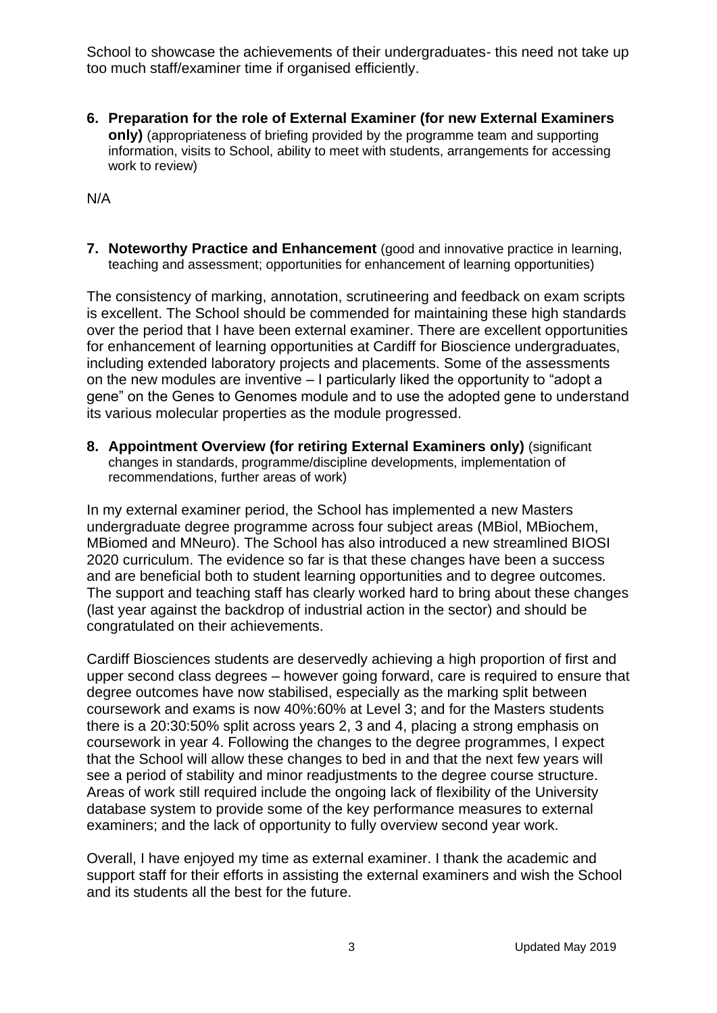School to showcase the achievements of their undergraduates- this need not take up too much staff/examiner time if organised efficiently.

**6. Preparation for the role of External Examiner (for new External Examiners only)** (appropriateness of briefing provided by the programme team and supporting information, visits to School, ability to meet with students, arrangements for accessing work to review)

N/A

**7. Noteworthy Practice and Enhancement** (good and innovative practice in learning, teaching and assessment; opportunities for enhancement of learning opportunities)

The consistency of marking, annotation, scrutineering and feedback on exam scripts is excellent. The School should be commended for maintaining these high standards over the period that I have been external examiner. There are excellent opportunities for enhancement of learning opportunities at Cardiff for Bioscience undergraduates, including extended laboratory projects and placements. Some of the assessments on the new modules are inventive – I particularly liked the opportunity to "adopt a gene" on the Genes to Genomes module and to use the adopted gene to understand its various molecular properties as the module progressed.

**8. Appointment Overview (for retiring External Examiners only)** (significant changes in standards, programme/discipline developments, implementation of recommendations, further areas of work)

In my external examiner period, the School has implemented a new Masters undergraduate degree programme across four subject areas (MBiol, MBiochem, MBiomed and MNeuro). The School has also introduced a new streamlined BIOSI 2020 curriculum. The evidence so far is that these changes have been a success and are beneficial both to student learning opportunities and to degree outcomes. The support and teaching staff has clearly worked hard to bring about these changes (last year against the backdrop of industrial action in the sector) and should be congratulated on their achievements.

Cardiff Biosciences students are deservedly achieving a high proportion of first and upper second class degrees – however going forward, care is required to ensure that degree outcomes have now stabilised, especially as the marking split between coursework and exams is now 40%:60% at Level 3; and for the Masters students there is a 20:30:50% split across years 2, 3 and 4, placing a strong emphasis on coursework in year 4. Following the changes to the degree programmes, I expect that the School will allow these changes to bed in and that the next few years will see a period of stability and minor readjustments to the degree course structure. Areas of work still required include the ongoing lack of flexibility of the University database system to provide some of the key performance measures to external examiners; and the lack of opportunity to fully overview second year work.

Overall, I have enjoyed my time as external examiner. I thank the academic and support staff for their efforts in assisting the external examiners and wish the School and its students all the best for the future.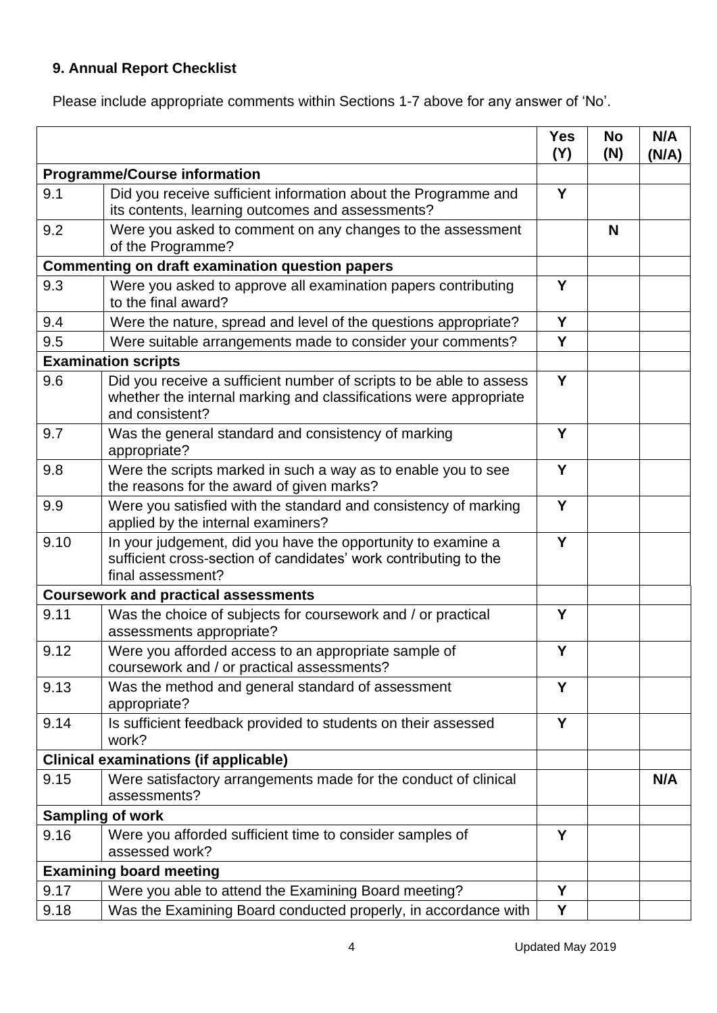# **9. Annual Report Checklist**

Please include appropriate comments within Sections 1-7 above for any answer of 'No'.

|                                                        |                                                                                                                                                             | <b>Yes</b><br>(Y) | <b>No</b><br>(N) | N/A<br>(N/A) |
|--------------------------------------------------------|-------------------------------------------------------------------------------------------------------------------------------------------------------------|-------------------|------------------|--------------|
| <b>Programme/Course information</b>                    |                                                                                                                                                             |                   |                  |              |
| 9.1                                                    | Did you receive sufficient information about the Programme and<br>its contents, learning outcomes and assessments?                                          | Y                 |                  |              |
| 9.2                                                    | Were you asked to comment on any changes to the assessment<br>of the Programme?                                                                             |                   | N                |              |
| <b>Commenting on draft examination question papers</b> |                                                                                                                                                             |                   |                  |              |
| 9.3                                                    | Were you asked to approve all examination papers contributing<br>to the final award?                                                                        | Y                 |                  |              |
| 9.4                                                    | Were the nature, spread and level of the questions appropriate?                                                                                             | Y                 |                  |              |
| 9.5                                                    | Were suitable arrangements made to consider your comments?                                                                                                  | Y                 |                  |              |
| <b>Examination scripts</b>                             |                                                                                                                                                             |                   |                  |              |
| 9.6                                                    | Did you receive a sufficient number of scripts to be able to assess<br>whether the internal marking and classifications were appropriate<br>and consistent? | Y                 |                  |              |
| 9.7                                                    | Was the general standard and consistency of marking<br>appropriate?                                                                                         | Y                 |                  |              |
| 9.8                                                    | Were the scripts marked in such a way as to enable you to see<br>the reasons for the award of given marks?                                                  | Y                 |                  |              |
| 9.9                                                    | Were you satisfied with the standard and consistency of marking<br>applied by the internal examiners?                                                       | Y                 |                  |              |
| 9.10                                                   | In your judgement, did you have the opportunity to examine a<br>sufficient cross-section of candidates' work contributing to the<br>final assessment?       | Y                 |                  |              |
| <b>Coursework and practical assessments</b>            |                                                                                                                                                             |                   |                  |              |
| 9.11                                                   | Was the choice of subjects for coursework and / or practical<br>assessments appropriate?                                                                    | Y                 |                  |              |
| 9.12                                                   | Were you afforded access to an appropriate sample of<br>coursework and / or practical assessments?                                                          | Y                 |                  |              |
| 9.13                                                   | Was the method and general standard of assessment<br>appropriate?                                                                                           | Y                 |                  |              |
| 9.14                                                   | Is sufficient feedback provided to students on their assessed<br>work?                                                                                      | Y                 |                  |              |
|                                                        | <b>Clinical examinations (if applicable)</b>                                                                                                                |                   |                  |              |
| 9.15                                                   | Were satisfactory arrangements made for the conduct of clinical<br>assessments?                                                                             |                   |                  | N/A          |
|                                                        | <b>Sampling of work</b>                                                                                                                                     |                   |                  |              |
| 9.16                                                   | Were you afforded sufficient time to consider samples of<br>assessed work?                                                                                  | Y                 |                  |              |
|                                                        | <b>Examining board meeting</b>                                                                                                                              |                   |                  |              |
| 9.17                                                   | Were you able to attend the Examining Board meeting?                                                                                                        | Y                 |                  |              |
| 9.18                                                   | Was the Examining Board conducted properly, in accordance with                                                                                              | Y                 |                  |              |